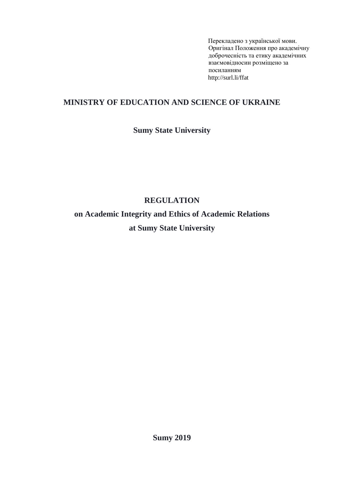Перекладено з української мови. Оригіна[л Положення про академічну](http://normative.sumdu.edu.ua/?task=getfile&tmpl=component&id=fe3a1f9e-9c36-e911-9278-001a4be6d04a&kind=1)  [доброчесність та етику академічних](http://normative.sumdu.edu.ua/?task=getfile&tmpl=component&id=fe3a1f9e-9c36-e911-9278-001a4be6d04a&kind=1)  [взаємовідносин](http://normative.sumdu.edu.ua/?task=getfile&tmpl=component&id=fe3a1f9e-9c36-e911-9278-001a4be6d04a&kind=1) розміщено за посиланням http://surl.li/ffat

### **MINISTRY OF EDUCATION AND SCIENCE OF UKRAINE**

## **Sumy State University**

# **REGULATION**

**on Academic Integrity and Ethics of Academic Relations at Sumy State University**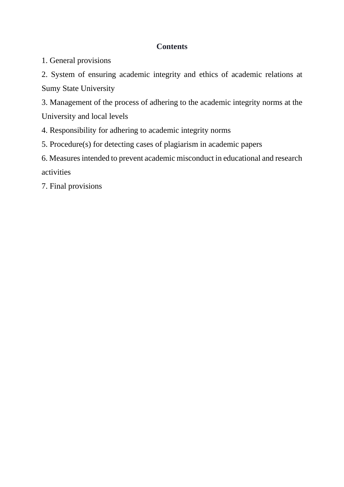### **Contents**

1. General provisions

2. System of ensuring academic integrity and ethics of academic relations at Sumy State University

3. Management of the process of adhering to the academic integrity norms at the University and local levels

4. Responsibility for adhering to academic integrity norms

5. Procedure(s) for detecting cases of plagiarism in academic papers

6. Measures intended to prevent academic misconduct in educational and research activities

7. Final provisions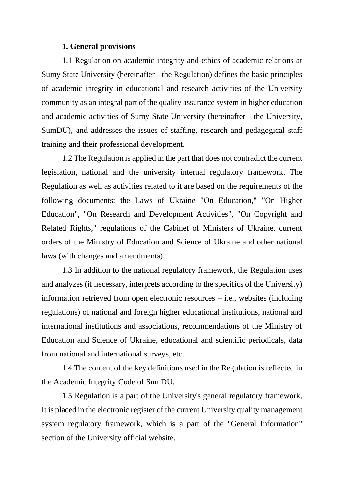#### **1. General provisions**

1.1 Regulation on academic integrity and ethics of academic relations at Sumy State University (hereinafter - the Regulation) defines the basic principles of academic integrity in educational and research activities of the University community as an integral part of the quality assurance system in higher education and academic activities of Sumy State University (hereinafter - the University, SumDU), and addresses the issues of staffing, research and pedagogical staff training and their professional development.

1.2 The Regulation is applied in the part that does not contradict the current legislation, national and the university internal regulatory framework. The Regulation as well as activities related to it are based on the requirements of the following documents: the Laws of Ukraine "On Education," "On Higher Education", "On Research and Development Activities", "On Copyright and Related Rights," regulations of the Cabinet of Ministers of Ukraine, current orders of the Ministry of Education and Science of Ukraine and other national laws (with changes and amendments).

1.3 In addition to the national regulatory framework, the Regulation uses and analyzes (if necessary, interprets according to the specifics of the University) information retrieved from open electronic resources – i.e., websites (including regulations) of national and foreign higher educational institutions, national and international institutions and associations, recommendations of the Ministry of Education and Science of Ukraine, educational and scientific periodicals, data from national and international surveys, etc.

1.4 The content of the key definitions used in the Regulation is reflected in the Academic Integrity Code of SumDU.

1.5 Regulation is a part of the University's general regulatory framework. It is placed in the electronic register of the current University quality management system regulatory framework, which is a part of the "General Information" section of the University official website.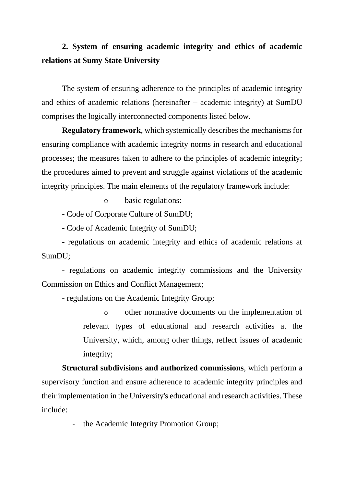# **2. System of ensuring academic integrity and ethics of academic relations at Sumy State University**

The system of ensuring adherence to the principles of academic integrity and ethics of academic relations (hereinafter – academic integrity) at SumDU comprises the logically interconnected components listed below.

**Regulatory framework**, which systemically describes the mechanisms for ensuring compliance with academic integrity norms in research and educational processes; the measures taken to adhere to the principles of academic integrity; the procedures aimed to prevent and struggle against violations of the academic integrity principles. The main elements of the regulatory framework include:

o basic regulations:

- Code of Corporate Culture of SumDU;

- Code of Academic Integrity of SumDU;

- regulations on academic integrity and ethics of academic relations at SumDU;

- regulations on academic integrity commissions and the University Commission on Ethics and Conflict Management;

- regulations on the Academic Integrity Group;

o other normative documents on the implementation of relevant types of educational and research activities at the University, which, among other things, reflect issues of academic integrity;

**Structural subdivisions and authorized commissions**, which perform a supervisory function and ensure adherence to academic integrity principles and their implementation in the University's educational and research activities. These include:

the Academic Integrity Promotion Group;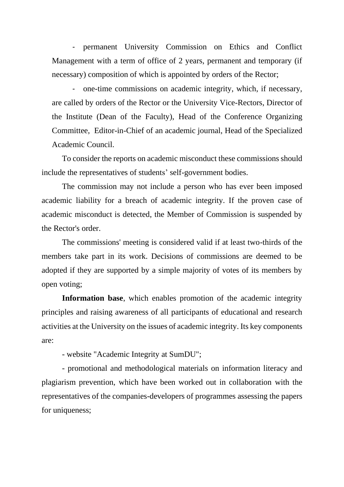- permanent University Commission on Ethics and Conflict Management with a term of office of 2 years, permanent and temporary (if necessary) composition of which is appointed by orders of the Rector;

- one-time commissions on academic integrity, which, if necessary, are called by orders of the Rector or the University Vice-Rectors, Director of the Institute (Dean of the Faculty), Head of the Conference Organizing Committee, Editor-in-Chief of an academic journal, Head of the Specialized Academic Council.

To consider the reports on academic misconduct these commissions should include the representatives of students' self-government bodies.

The commission may not include a person who has ever been imposed academic liability for a breach of academic integrity. If the proven case of academic misconduct is detected, the Member of Commission is suspended by the Rector's order.

The commissions' meeting is considered valid if at least two-thirds of the members take part in its work. Decisions of commissions are deemed to be adopted if they are supported by a simple majority of votes of its members by open voting;

**Information base**, which enables promotion of the academic integrity principles and raising awareness of all participants of educational and research activities at the University on the issues of academic integrity. Its key components are:

- website "Academic Integrity at SumDU";

- promotional and methodological materials on information literacy and plagiarism prevention, which have been worked out in collaboration with the representatives of the companies-developers of programmes assessing the papers for uniqueness;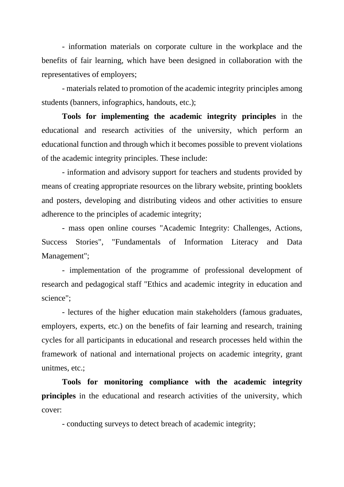- information materials on corporate culture in the workplace and the benefits of fair learning, which have been designed in collaboration with the representatives of employers;

- materials related to promotion of the academic integrity principles among students (banners, infographics, handouts, etc.);

**Tools for implementing the academic integrity principles** in the educational and research activities of the university, which perform an educational function and through which it becomes possible to prevent violations of the academic integrity principles. These include:

- information and advisory support for teachers and students provided by means of creating appropriate resources on the library website, printing booklets and posters, developing and distributing videos and other activities to ensure adherence to the principles of academic integrity;

- mass open online courses "Academic Integrity: Challenges, Actions, Success Stories", "Fundamentals of Information Literacy and Data Management";

- implementation of the programme of professional development of research and pedagogical staff "Ethics and academic integrity in education and science";

- lectures of the higher education main stakeholders (famous graduates, employers, experts, etc.) on the benefits of fair learning and research, training cycles for all participants in educational and research processes held within the framework of national and international projects on academic integrity, grant unitmes, etc.;

**Tools for monitoring compliance with the academic integrity principles** in the educational and research activities of the university, which cover:

- conducting surveys to detect breach of academic integrity;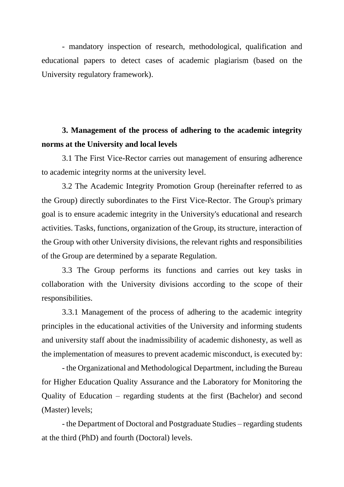- mandatory inspection of research, methodological, qualification and educational papers to detect cases of academic plagiarism (based on the University regulatory framework).

# **3. Management of the process of adhering to the academic integrity norms at the University and local levels**

3.1 The First Vice-Rector carries out management of ensuring adherence to academic integrity norms at the university level.

3.2 The Academic Integrity Promotion Group (hereinafter referred to as the Group) directly subordinates to the First Vice-Rector. The Group's primary goal is to ensure academic integrity in the University's educational and research activities. Tasks, functions, organization of the Group, its structure, interaction of the Group with other University divisions, the relevant rights and responsibilities of the Group are determined by a separate Regulation.

3.3 The Group performs its functions and carries out key tasks in collaboration with the University divisions according to the scope of their responsibilities.

3.3.1 Management of the process of adhering to the academic integrity principles in the educational activities of the University and informing students and university staff about the inadmissibility of academic dishonesty, as well as the implementation of measures to prevent academic misconduct, is executed by:

- the Organizational and Methodological Department, including the Bureau for Higher Education Quality Assurance and the Laboratory for Monitoring the Quality of Education – regarding students at the first (Bachelor) and second (Master) levels;

- the Department of Doctoral and Postgraduate Studies – regarding students at the third (PhD) and fourth (Doctoral) levels.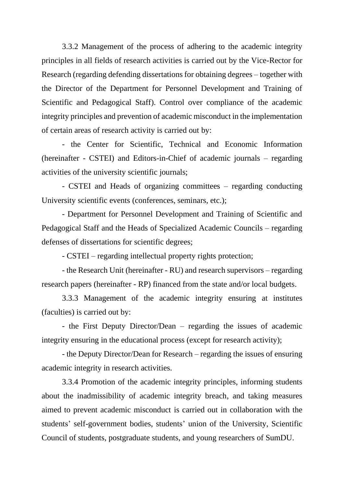3.3.2 Management of the process of adhering to the academic integrity principles in all fields of research activities is carried out by the Vice-Rector for Research (regarding defending dissertations for obtaining degrees – together with the Director of the Department for Personnel Development and Training of Scientific and Pedagogical Staff). Control over compliance of the academic integrity principles and prevention of academic misconduct in the implementation of certain areas of research activity is carried out by:

- the Center for Scientific, Technical and Economic Information (hereinafter - CSTEI) and Editors-in-Chief of academic journals – regarding activities of the university scientific journals;

- CSTEI and Heads of organizing committees – regarding conducting University scientific events (conferences, seminars, etc.);

- Department for Personnel Development and Training of Scientific and Pedagogical Staff and the Heads of Specialized Academic Councils – regarding defenses of dissertations for scientific degrees;

- CSTEI – regarding intellectual property rights protection;

- the Research Unit (hereinafter - RU) and research supervisors – regarding research papers (hereinafter - RP) financed from the state and/or local budgets.

3.3.3 Management of the academic integrity ensuring at institutes (faculties) is carried out by:

- the First Deputy Director/Dean – regarding the issues of academic integrity ensuring in the educational process (except for research activity);

- the Deputy Director/Dean for Research – regarding the issues of ensuring academic integrity in research activities.

3.3.4 Promotion of the academic integrity principles, informing students about the inadmissibility of academic integrity breach, and taking measures aimed to prevent academic misconduct is carried out in collaboration with the students' self-government bodies, students' union of the University, Scientific Council of students, postgraduate students, and young researchers of SumDU.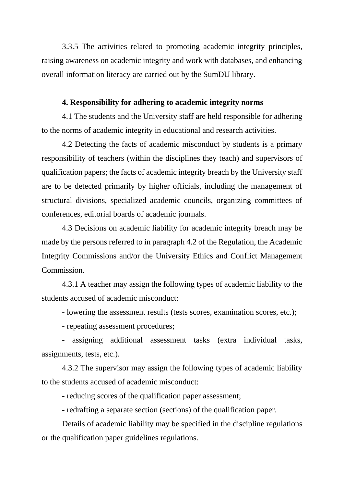3.3.5 The activities related to promoting academic integrity principles, raising awareness on academic integrity and work with databases, and enhancing overall information literacy are carried out by the SumDU library.

#### **4. Responsibility for adhering to academic integrity norms**

4.1 The students and the University staff are held responsible for adhering to the norms of academic integrity in educational and research activities.

4.2 Detecting the facts of academic misconduct by students is a primary responsibility of teachers (within the disciplines they teach) and supervisors of qualification papers; the facts of academic integrity breach by the University staff are to be detected primarily by higher officials, including the management of structural divisions, specialized academic councils, organizing committees of conferences, editorial boards of academic journals.

4.3 Decisions on academic liability for academic integrity breach may be made by the persons referred to in paragraph 4.2 of the Regulation, the Academic Integrity Commissions and/or the University Ethics and Conflict Management Commission.

4.3.1 A teacher may assign the following types of academic liability to the students accused of academic misconduct:

- lowering the assessment results (tests scores, examination scores, etc.);

- repeating assessment procedures;

- assigning additional assessment tasks (extra individual tasks, assignments, tests, etc.).

4.3.2 The supervisor may assign the following types of academic liability to the students accused of academic misconduct:

- reducing scores of the qualification paper assessment;

- redrafting a separate section (sections) of the qualification paper.

Details of academic liability may be specified in the discipline regulations or the qualification paper guidelines regulations.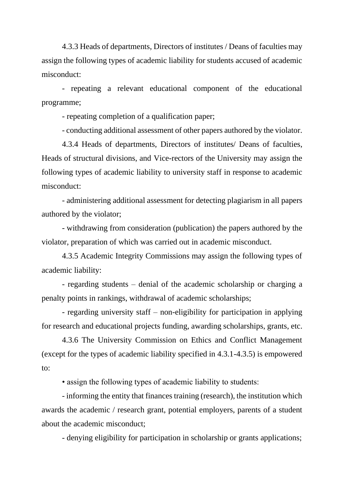4.3.3 Heads of departments, Directors of institutes / Deans of faculties may assign the following types of academic liability for students accused of academic misconduct:

- repeating a relevant educational component of the educational programme;

- repeating completion of a qualification paper;

- conducting additional assessment of other papers authored by the violator.

4.3.4 Heads of departments, Directors of institutes/ Deans of faculties, Heads of structural divisions, and Vice-rectors of the University may assign the following types of academic liability to university staff in response to academic misconduct:

- administering additional assessment for detecting plagiarism in all papers authored by the violator;

- withdrawing from consideration (publication) the papers authored by the violator, preparation of which was carried out in academic misconduct.

4.3.5 Academic Integrity Commissions may assign the following types of academic liability:

- regarding students – denial of the academic scholarship or charging a penalty points in rankings, withdrawal of academic scholarships;

- regarding university staff – non-eligibility for participation in applying for research and educational projects funding, awarding scholarships, grants, etc.

4.3.6 The University Commission on Ethics and Conflict Management (except for the types of academic liability specified in 4.3.1-4.3.5) is empowered to:

• assign the following types of academic liability to students:

- informing the entity that finances training (research), the institution which awards the academic / research grant, potential employers, parents of a student about the academic misconduct;

- denying eligibility for participation in scholarship or grants applications;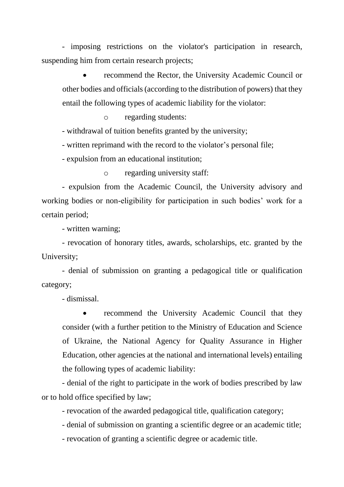- imposing restrictions on the violator's participation in research, suspending him from certain research projects;

recommend the Rector, the University Academic Council or other bodies and officials (according to the distribution of powers) that they entail the following types of academic liability for the violator:

o regarding students:

- withdrawal of tuition benefits granted by the university;

- written reprimand with the record to the violator's personal file;

- expulsion from an educational institution;

o regarding university staff:

- expulsion from the Academic Council, the University advisory and working bodies or non-eligibility for participation in such bodies' work for a certain period;

- written warning;

- revocation of honorary titles, awards, scholarships, etc. granted by the University;

- denial of submission on granting a pedagogical title or qualification category;

- dismissal.

recommend the University Academic Council that they consider (with a further petition to the Ministry of Education and Science of Ukraine, the National Agency for Quality Assurance in Higher Education, other agencies at the national and international levels) entailing the following types of academic liability:

- denial of the right to participate in the work of bodies prescribed by law or to hold office specified by law;

- revocation of the awarded pedagogical title, qualification category;

- denial of submission on granting a scientific degree or an academic title;

- revocation of granting a scientific degree or academic title.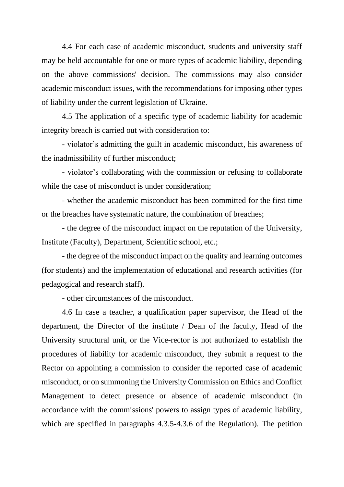4.4 For each case of academic misconduct, students and university staff may be held accountable for one or more types of academic liability, depending on the above commissions' decision. The commissions may also consider academic misconduct issues, with the recommendations for imposing other types of liability under the current legislation of Ukraine.

4.5 The application of a specific type of academic liability for academic integrity breach is carried out with consideration to:

- violator's admitting the guilt in academic misconduct, his awareness of the inadmissibility of further misconduct;

- violator's collaborating with the commission or refusing to collaborate while the case of misconduct is under consideration;

- whether the academic misconduct has been committed for the first time or the breaches have systematic nature, the combination of breaches;

- the degree of the misconduct impact on the reputation of the University, Institute (Faculty), Department, Scientific school, etc.;

- the degree of the misconduct impact on the quality and learning outcomes (for students) and the implementation of educational and research activities (for pedagogical and research staff).

- other circumstances of the misconduct.

4.6 In case a teacher, a qualification paper supervisor, the Head of the department, the Director of the institute / Dean of the faculty, Head of the University structural unit, or the Vice-rector is not authorized to establish the procedures of liability for academic misconduct, they submit a request to the Rector on appointing a commission to consider the reported case of academic misconduct, or on summoning the University Commission on Ethics and Conflict Management to detect presence or absence of academic misconduct (in accordance with the commissions' powers to assign types of academic liability, which are specified in paragraphs 4.3.5-4.3.6 of the Regulation). The petition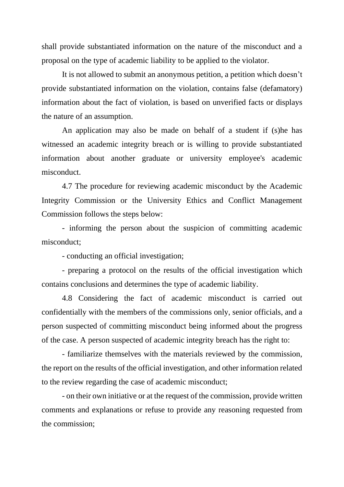shall provide substantiated information on the nature of the misconduct and a proposal on the type of academic liability to be applied to the violator.

It is not allowed to submit an anonymous petition, a petition which doesn't provide substantiated information on the violation, contains false (defamatory) information about the fact of violation, is based on unverified facts or displays the nature of an assumption.

An application may also be made on behalf of a student if (s)he has witnessed an academic integrity breach or is willing to provide substantiated information about another graduate or university employee's academic misconduct.

4.7 The procedure for reviewing academic misconduct by the Academic Integrity Commission or the University Ethics and Conflict Management Commission follows the steps below:

- informing the person about the suspicion of committing academic misconduct;

- conducting an official investigation;

- preparing a protocol on the results of the official investigation which contains conclusions and determines the type of academic liability.

4.8 Considering the fact of academic misconduct is carried out confidentially with the members of the commissions only, senior officials, and a person suspected of committing misconduct being informed about the progress of the case. A person suspected of academic integrity breach has the right to:

- familiarize themselves with the materials reviewed by the commission, the report on the results of the official investigation, and other information related to the review regarding the case of academic misconduct;

- on their own initiative or at the request of the commission, provide written comments and explanations or refuse to provide any reasoning requested from the commission;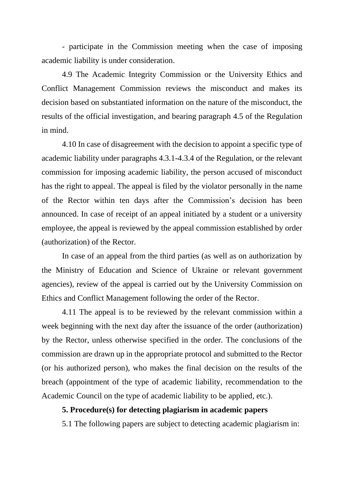- participate in the Commission meeting when the case of imposing academic liability is under consideration.

4.9 The Academic Integrity Commission or the University Ethics and Conflict Management Commission reviews the misconduct and makes its decision based on substantiated information on the nature of the misconduct, the results of the official investigation, and bearing paragraph 4.5 of the Regulation in mind.

4.10 In case of disagreement with the decision to appoint a specific type of academic liability under paragraphs 4.3.1-4.3.4 of the Regulation, or the relevant commission for imposing academic liability, the person accused of misconduct has the right to appeal. The appeal is filed by the violator personally in the name of the Rector within ten days after the Commission's decision has been announced. In case of receipt of an appeal initiated by a student or a university employee, the appeal is reviewed by the appeal commission established by order (authorization) of the Rector.

In case of an appeal from the third parties (as well as on authorization by the Ministry of Education and Science of Ukraine or relevant government agencies), review of the appeal is carried out by the University Commission on Ethics and Conflict Management following the order of the Rector.

4.11 The appeal is to be reviewed by the relevant commission within a week beginning with the next day after the issuance of the order (authorization) by the Rector, unless otherwise specified in the order. The conclusions of the commission are drawn up in the appropriate protocol and submitted to the Rector (or his authorized person), who makes the final decision on the results of the breach (appointment of the type of academic liability, recommendation to the Academic Council on the type of academic liability to be applied, etc.).

### **5. Procedure(s) for detecting plagiarism in academic papers**

5.1 The following papers are subject to detecting academic plagiarism in: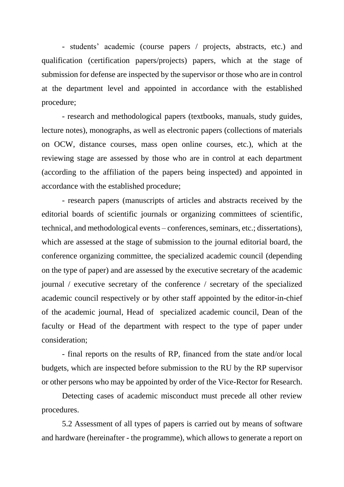- students' academic (course papers / projects, abstracts, etc.) and qualification (certification papers/projects) papers, which at the stage of submission for defense are inspected by the supervisor or those who are in control at the department level and appointed in accordance with the established procedure;

- research and methodological papers (textbooks, manuals, study guides, lecture notes), monographs, as well as electronic papers (collections of materials on OCW, distance courses, mass open online courses, etc.), which at the reviewing stage are assessed by those who are in control at each department (according to the affiliation of the papers being inspected) and appointed in accordance with the established procedure;

- research papers (manuscripts of articles and abstracts received by the editorial boards of scientific journals or organizing committees of scientific, technical, and methodological events – conferences, seminars, etc.; dissertations), which are assessed at the stage of submission to the journal editorial board, the conference organizing committee, the specialized academic council (depending on the type of paper) and are assessed by the executive secretary of the academic journal / executive secretary of the conference / secretary of the specialized academic council respectively or by other staff appointed by the editor-in-chief of the academic journal, Head of specialized academic council, Dean of the faculty or Head of the department with respect to the type of paper under consideration;

- final reports on the results of RP, financed from the state and/or local budgets, which are inspected before submission to the RU by the RP supervisor or other persons who may be appointed by order of the Vice-Rector for Research.

Detecting cases of academic misconduct must precede all other review procedures.

5.2 Assessment of all types of papers is carried out by means of software and hardware (hereinafter - the programme), which allows to generate a report on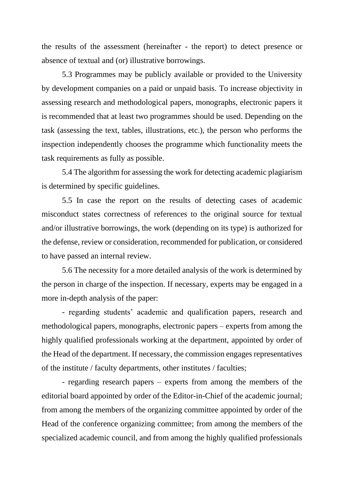the results of the assessment (hereinafter - the report) to detect presence or absence of textual and (or) illustrative borrowings.

5.3 Programmes may be publicly available or provided to the University by development companies on a paid or unpaid basis. To increase objectivity in assessing research and methodological papers, monographs, electronic papers it is recommended that at least two programmes should be used. Depending on the task (assessing the text, tables, illustrations, etc.), the person who performs the inspection independently chooses the programme which functionality meets the task requirements as fully as possible.

5.4 The algorithm for assessing the work for detecting academic plagiarism is determined by specific guidelines.

5.5 In case the report on the results of detecting cases of academic misconduct states correctness of references to the original source for textual and/or illustrative borrowings, the work (depending on its type) is authorized for the defense, review or consideration, recommended for publication, or considered to have passed an internal review.

5.6 The necessity for a more detailed analysis of the work is determined by the person in charge of the inspection. If necessary, experts may be engaged in a more in-depth analysis of the paper:

- regarding students' academic and qualification papers, research and methodological papers, monographs, electronic papers – experts from among the highly qualified professionals working at the department, appointed by order of the Head of the department. If necessary, the commission engages representatives of the institute / faculty departments, other institutes / faculties;

- regarding research papers – experts from among the members of the editorial board appointed by order of the Editor-in-Chief of the academic journal; from among the members of the organizing committee appointed by order of the Head of the conference organizing committee; from among the members of the specialized academic council, and from among the highly qualified professionals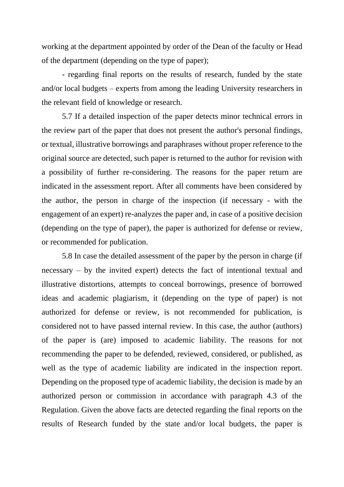working at the department appointed by order of the Dean of the faculty or Head of the department (depending on the type of paper);

- regarding final reports on the results of research, funded by the state and/or local budgets – experts from among the leading University researchers in the relevant field of knowledge or research.

5.7 If a detailed inspection of the paper detects minor technical errors in the review part of the paper that does not present the author's personal findings, or textual, illustrative borrowings and paraphrases without proper reference to the original source are detected, such paper is returned to the author for revision with a possibility of further re-considering. The reasons for the paper return are indicated in the assessment report. After all comments have been considered by the author, the person in charge of the inspection (if necessary - with the engagement of an expert) re-analyzes the paper and, in case of a positive decision (depending on the type of paper), the paper is authorized for defense or review, or recommended for publication.

5.8 In case the detailed assessment of the paper by the person in charge (if necessary – by the invited expert) detects the fact of intentional textual and illustrative distortions, attempts to conceal borrowings, presence of borrowed ideas and academic plagiarism, it (depending on the type of paper) is not authorized for defense or review, is not recommended for publication, is considered not to have passed internal review. In this case, the author (authors) of the paper is (are) imposed to academic liability. The reasons for not recommending the paper to be defended, reviewed, considered, or published, as well as the type of academic liability are indicated in the inspection report. Depending on the proposed type of academic liability, the decision is made by an authorized person or commission in accordance with paragraph 4.3 of the Regulation. Given the above facts are detected regarding the final reports on the results of Research funded by the state and/or local budgets, the paper is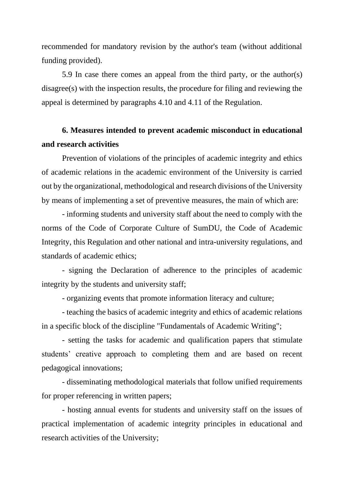recommended for mandatory revision by the author's team (without additional funding provided).

5.9 In case there comes an appeal from the third party, or the author(s) disagree(s) with the inspection results, the procedure for filing and reviewing the appeal is determined by paragraphs 4.10 and 4.11 of the Regulation.

## **6. Measures intended to prevent academic misconduct in educational and research activities**

Prevention of violations of the principles of academic integrity and ethics of academic relations in the academic environment of the University is carried out by the organizational, methodological and research divisions of the University by means of implementing a set of preventive measures, the main of which are:

- informing students and university staff about the need to comply with the norms of the Code of Corporate Culture of SumDU, the Code of Academic Integrity, this Regulation and other national and intra-university regulations, and standards of academic ethics;

- signing the Declaration of adherence to the principles of academic integrity by the students and university staff;

- organizing events that promote information literacy and culture;

- teaching the basics of academic integrity and ethics of academic relations in a specific block of the discipline "Fundamentals of Academic Writing";

- setting the tasks for academic and qualification papers that stimulate students' creative approach to completing them and are based on recent pedagogical innovations;

- disseminating methodological materials that follow unified requirements for proper referencing in written papers;

- hosting annual events for students and university staff on the issues of practical implementation of academic integrity principles in educational and research activities of the University;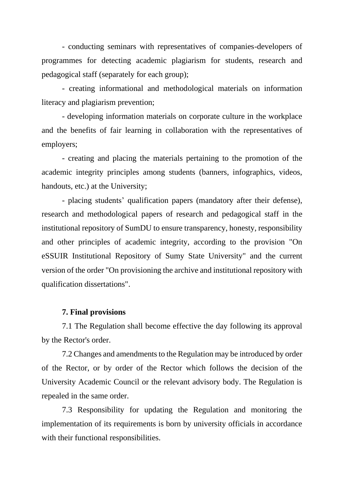- conducting seminars with representatives of companies-developers of programmes for detecting academic plagiarism for students, research and pedagogical staff (separately for each group);

- creating informational and methodological materials on information literacy and plagiarism prevention;

- developing information materials on corporate culture in the workplace and the benefits of fair learning in collaboration with the representatives of employers;

- creating and placing the materials pertaining to the promotion of the academic integrity principles among students (banners, infographics, videos, handouts, etc.) at the University;

- placing students' qualification papers (mandatory after their defense), research and methodological papers of research and pedagogical staff in the institutional repository of SumDU to ensure transparency, honesty, responsibility and other principles of academic integrity, according to the provision "On eSSUIR Institutional Repository of Sumy State University" and the current version of the order "On provisioning the archive and institutional repository with qualification dissertations".

#### **7. Final provisions**

7.1 The Regulation shall become effective the day following its approval by the Rector's order.

7.2 Changes and amendments to the Regulation may be introduced by order of the Rector, or by order of the Rector which follows the decision of the University Academic Council or the relevant advisory body. The Regulation is repealed in the same order.

7.3 Responsibility for updating the Regulation and monitoring the implementation of its requirements is born by university officials in accordance with their functional responsibilities.